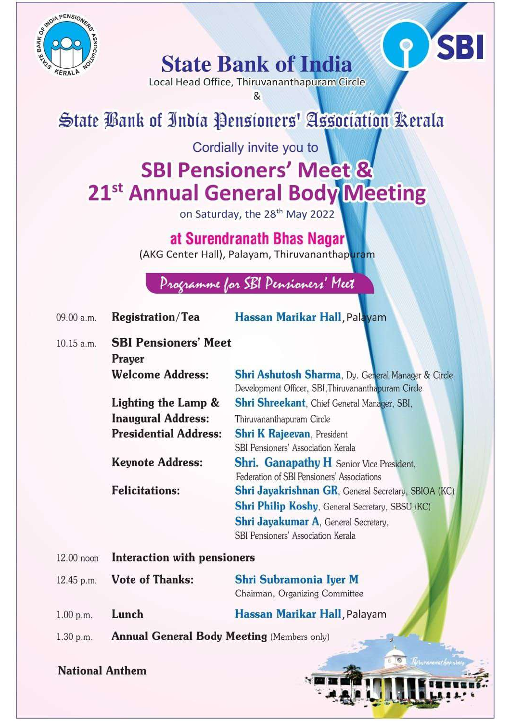

**State Bank of India** 

Local Head Office, Thiruvananthapuram Circle

SBI

&

## State Bank of India Pensioners' Association Rerala

Cordially invite you to

## **SBI Pensioners' Meet &** 21<sup>st</sup> Annual General Body Meeting

on Saturday, the 28<sup>th</sup> May 2022

at Surendranath Bhas Nagar

(AKG Center Hall), Palayam, Thiruvananthapuram

Programme for SBI Pensioners' Meet

| 09.00 a.m. | <b>Registration/Tea</b>      | Hassan Marikar Hall, Palayam                                                                              |
|------------|------------------------------|-----------------------------------------------------------------------------------------------------------|
| 10.15 a.m. | <b>SBI Pensioners' Meet</b>  |                                                                                                           |
|            | Prayer                       |                                                                                                           |
|            | <b>Welcome Address:</b>      | Shri Ashutosh Sharma, Dy. General Manager & Circle<br>Development Officer, SBI, Thiruvananthapuram Circle |
|            | Lighting the Lamp &          | Shri Shreekant, Chief General Manager, SBI,                                                               |
|            | <b>Inaugural Address:</b>    | Thiruvananthapuram Circle                                                                                 |
|            | <b>Presidential Address:</b> | <b>Shri K Rajeevan</b> , President<br>SBI Pensioners' Association Kerala                                  |
|            | <b>Keynote Address:</b>      | <b>Shri. Ganapathy H</b> Senior Vice President,<br>Federation of SBI Pensioners' Associations             |
|            | <b>Felicitations:</b>        | <b>Shri Jayakrishnan GR, General Secretary, SBIOA (KC)</b>                                                |
|            |                              | <b>Shri Philip Koshy, General Secretary, SBSU (KC)</b>                                                    |
|            |                              | Shri Jayakumar A, General Secretary,                                                                      |
|            |                              | SBI Pensioners' Association Kerala                                                                        |
| 12.00 noon | Interaction with pensioners  |                                                                                                           |

| 12.45 p.m. | <b>Vote of Thanks:</b> | Shri Subramonia Iyer M         |
|------------|------------------------|--------------------------------|
|            |                        | Chairman, Organizing Committee |
| 1.00 p.m.  | Lunch                  | Hassan Marikar Hall, Palayan   |

**Annual General Body Meeting (Members only)** 1.30 p.m.

**National Anthem**